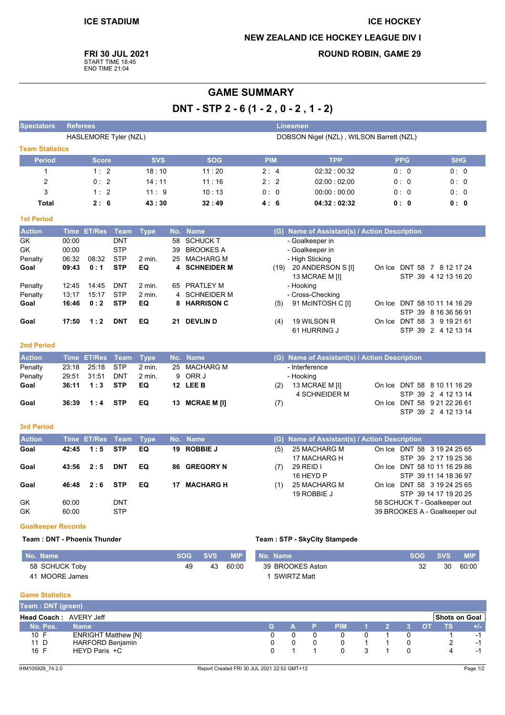# **ICE HOCKEY**

## **NEW ZEALAND ICE HOCKEY LEAGUE DIV I**

FRI 30 JUL 2021

START TIME 18:45<br>END TIME 21:04

## **ROUND ROBIN, GAME 29**

## **GAME SUMMARY** DNT - STP 2 - 6 (1 - 2, 0 - 2, 1 - 2)

| <b>Spectators</b>         | <b>Referees</b>                                                   |              |                          |                |        |                                         |            | <b>Linesmen</b>                               |            |                                                       |
|---------------------------|-------------------------------------------------------------------|--------------|--------------------------|----------------|--------|-----------------------------------------|------------|-----------------------------------------------|------------|-------------------------------------------------------|
|                           | HASLEMORE Tyler (NZL)<br>DOBSON Nigel (NZL), WILSON Barrett (NZL) |              |                          |                |        |                                         |            |                                               |            |                                                       |
| <b>Team Statistics</b>    |                                                                   |              |                          |                |        |                                         |            |                                               |            |                                                       |
| <b>Period</b>             |                                                                   | <b>Score</b> |                          | <b>SVS</b>     |        | <b>SOG</b>                              | <b>PIM</b> | <b>TPP</b>                                    | <b>PPG</b> | <b>SHG</b>                                            |
| 1                         |                                                                   | 1:2          |                          | 18:10          |        | 11:20                                   | 2:4        | 02:32:00:32                                   | 0:0        | 0:0                                                   |
| $\overline{2}$            |                                                                   | 0:2          |                          | 14:11          |        | 11:16                                   | 2:2        | 02:00:02:00                                   | 0:0        | 0:0                                                   |
| 3                         |                                                                   | 1:2          |                          | 11:9           |        | 10:13                                   | 0:0        | 00:00:00:00                                   | 0:0        | 0:0                                                   |
| <b>Total</b>              |                                                                   | 2:6          |                          | 43:30          |        | 32:49                                   | 4:6        | 04:32:02:32                                   | 0:0        | 0:0                                                   |
| <b>1st Period</b>         |                                                                   |              |                          |                |        |                                         |            |                                               |            |                                                       |
| <b>Action</b>             |                                                                   | Time ET/Res  | <b>Team</b>              | <b>Type</b>    | No.    | <b>Name</b>                             |            | (G) Name of Assistant(s) / Action Description |            |                                                       |
| GK                        | 00:00                                                             |              | <b>DNT</b>               |                | 58     | <b>SCHUCK T</b>                         |            | - Goalkeeper in                               |            |                                                       |
| <b>GK</b>                 | 00:00                                                             |              | <b>STP</b>               |                | 39     | <b>BROOKES A</b>                        |            | - Goalkeeper in                               |            |                                                       |
| Penalty                   | 06:32                                                             | 08:32        | <b>STP</b>               | $2$ min.       | 25     | MACHARG M                               |            | - High Sticking                               |            |                                                       |
| Goal                      | 09:43                                                             | 0:1          | <b>STP</b>               | EQ             | 4      | <b>SCHNEIDER M</b>                      |            | $(19)$ 20 ANDERSON S [I]                      |            | On Ice DNT 58 7 8 12 17 24                            |
|                           |                                                                   |              |                          |                |        |                                         |            | 13 MCRAE M [I]                                |            | STP 39 4 12 13 16 20                                  |
| Penalty                   | 12:45                                                             | 14:45        | <b>DNT</b><br><b>STP</b> | $2$ min.       |        | 65 PRATLEY M                            |            | - Hooking                                     |            |                                                       |
| Penalty<br>Goal           | 13:17<br>16:46                                                    | 15:17<br>0:2 | <b>STP</b>               | $2$ min.<br>EQ | 4<br>8 | <b>SCHNEIDER M</b><br><b>HARRISON C</b> |            | - Cross-Checking<br>91 McINTOSH C [I]         |            | On Ice DNT 58 10 11 14 16 29                          |
|                           |                                                                   |              |                          |                |        |                                         | (5)        |                                               |            | STP 39 8 16 36 56 91                                  |
| Goal                      | 17:50                                                             | 1:2          | <b>DNT</b>               | EQ             |        | 21 DEVLIN D                             | (4)        | 19 WILSON R                                   |            | On Ice DNT 58 3 9 19 21 61                            |
|                           |                                                                   |              |                          |                |        |                                         |            | 61 HURRING J                                  |            | STP 39 2 4 12 13 14                                   |
|                           |                                                                   |              |                          |                |        |                                         |            |                                               |            |                                                       |
| <b>2nd Period</b>         |                                                                   |              |                          |                |        |                                         |            |                                               |            |                                                       |
| <b>Action</b>             |                                                                   | Time ET/Res  | Team                     | <b>Type</b>    |        | No. Name                                |            | (G) Name of Assistant(s) / Action Description |            |                                                       |
| Penalty                   | 23:18                                                             | 25:18        | <b>STP</b>               | $2$ min.       | 25     | <b>MACHARG M</b>                        |            | - Interference                                |            |                                                       |
| Penalty                   | 29:51                                                             | 31:51        | <b>DNT</b>               | $2$ min.       | 9      | ORR J                                   |            | - Hooking                                     |            |                                                       |
| Goal                      | 36:11                                                             | 1:3          | <b>STP</b>               | EQ             |        | 12 LEE B                                | (2)        | 13 MCRAE M [I]                                |            | On Ice DNT 58 8 10 11 16 29                           |
| Goal                      | 36:39                                                             | 1:4          | <b>STP</b>               | EQ             |        |                                         |            | 4 SCHNEIDER M                                 |            | STP 39 2 4 12 13 14<br>On Ice DNT 58 9 21 22 26 61    |
|                           |                                                                   |              |                          |                |        | 13 MCRAE M [I]                          | (7)        |                                               |            | STP 39 2 4 12 13 14                                   |
|                           |                                                                   |              |                          |                |        |                                         |            |                                               |            |                                                       |
| <b>3rd Period</b>         |                                                                   |              |                          |                |        |                                         |            |                                               |            |                                                       |
| <b>Action</b>             |                                                                   | Time ET/Res  | <b>Team</b>              | <b>Type</b>    |        | No. Name                                |            | (G) Name of Assistant(s) / Action Description |            |                                                       |
| Goal                      | 42:45                                                             | 1:5          | <b>STP</b>               | EQ             | 19     | <b>ROBBIE J</b>                         | (5)        | 25 MACHARG M                                  |            | On Ice DNT 58 3 19 24 25 65                           |
|                           |                                                                   |              |                          |                |        |                                         |            | 17 MACHARG H                                  |            | STP 39 2 17 19 25 36                                  |
| Goal                      | 43:56                                                             | 2:5          | <b>DNT</b>               | EQ             | 86     | <b>GREGORY N</b>                        | (7)        | 29 REID I<br>16 HEYD P                        |            | On Ice DNT 58 10 11 16 29 86<br>STP 39 11 14 18 36 97 |
| Goal                      | 46:48                                                             | 2:6          | <b>STP</b>               | EQ             | 17     | <b>MACHARG H</b>                        | (1)        | 25 MACHARG M                                  |            | On Ice DNT 58 3 19 24 25 65                           |
|                           |                                                                   |              |                          |                |        |                                         |            | 19 ROBBIE J                                   |            | STP 39 14 17 19 20 25                                 |
| GK                        | 60:00                                                             |              | <b>DNT</b>               |                |        |                                         |            |                                               |            | 58 SCHUCK T - Goalkeeper out                          |
| <b>GK</b>                 | 60:00                                                             |              | <b>STP</b>               |                |        |                                         |            |                                               |            | 39 BROOKES A - Goalkeeper out                         |
| <b>Goalkeeper Records</b> |                                                                   |              |                          |                |        |                                         |            |                                               |            |                                                       |

#### Team: DNT - Phoenix Thunder

#### Team: STP - SkyCity Stampede

| No. Name       | <b>SOG</b> | <b>SVS.</b> | <b>MIP</b> | No. Name           | <b>SOG</b> | <b>SVS.</b> | <b>MIP</b> |
|----------------|------------|-------------|------------|--------------------|------------|-------------|------------|
| 58 SCHUCK Toby | 49         | 43          | 60:00      | 39 BROOKES Aston   |            | 30          | 60:00      |
| 41 MOORE James |            |             |            | <b>SWIRTZ Matt</b> |            |             |            |

#### **Game Statistics**

| Team: DNT (green)             |                            |  |            |  |  |                      |                          |
|-------------------------------|----------------------------|--|------------|--|--|----------------------|--------------------------|
| <b>Head Coach: AVERY Jeff</b> |                            |  |            |  |  | <b>Shots on Goal</b> |                          |
| No. Pos.                      | Name                       |  | <b>PIM</b> |  |  | TS                   | +/-                      |
| 10 F                          | <b>ENRIGHT Matthew [N]</b> |  |            |  |  |                      | - 1                      |
| 11 D                          | <b>HARFORD Benjamin</b>    |  |            |  |  |                      |                          |
| 16 F                          | HEYD Paris +C              |  |            |  |  |                      | $\overline{\phantom{0}}$ |